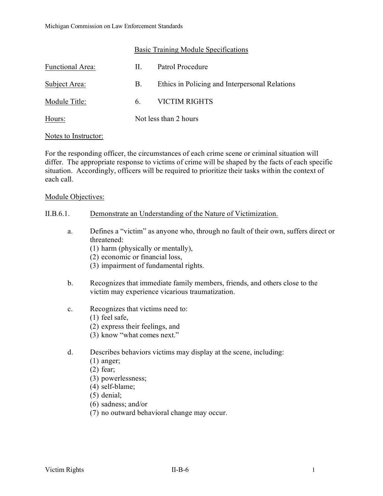# Basic Training Module Specifications

| Functional Area: | H. | Patrol Procedure                               |
|------------------|----|------------------------------------------------|
| Subject Area:    | B. | Ethics in Policing and Interpersonal Relations |
| Module Title:    | 6. | <b>VICTIM RIGHTS</b>                           |
| Hours:           |    | Not less than 2 hours                          |

#### Notes to Instructor:

For the responding officer, the circumstances of each crime scene or criminal situation will differ. The appropriate response to victims of crime will be shaped by the facts of each specific situation. Accordingly, officers will be required to prioritize their tasks within the context of each call.

#### Module Objectives:

#### II.B.6.1. Demonstrate an Understanding of the Nature of Victimization.

- a. Defines a "victim" as anyone who, through no fault of their own, suffers direct or threatened:
	- (1) harm (physically or mentally),
	- (2) economic or financial loss,
	- (3) impairment of fundamental rights.
- b. Recognizes that immediate family members, friends, and others close to the victim may experience vicarious traumatization.
- c. Recognizes that victims need to:
	- (1) feel safe,
	- (2) express their feelings, and
	- (3) know "what comes next."
- d. Describes behaviors victims may display at the scene, including:
	- (1) anger;
	- (2) fear;
	- (3) powerlessness;
	- (4) self-blame;
	- (5) denial;
	- (6) sadness; and/or
	- (7) no outward behavioral change may occur.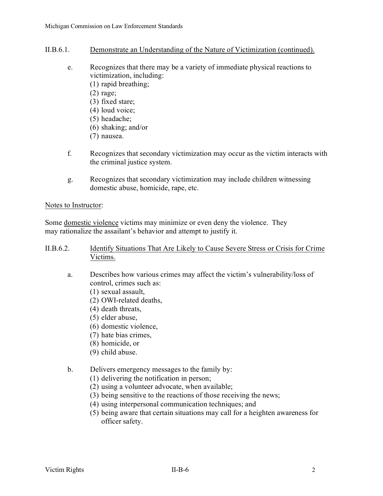- II.B.6.1. Demonstrate an Understanding of the Nature of Victimization (continued).
	- e. Recognizes that there may be a variety of immediate physical reactions to victimization, including:
		- (1) rapid breathing;
		- (2) rage;
		- (3) fixed stare;
		- (4) loud voice;
		- (5) headache;
		- (6) shaking; and/or
		- (7) nausea.
	- f. Recognizes that secondary victimization may occur as the victim interacts with the criminal justice system.
	- g. Recognizes that secondary victimization may include children witnessing domestic abuse, homicide, rape, etc.

# Notes to Instructor:

Some domestic violence victims may minimize or even deny the violence. They may rationalize the assailant's behavior and attempt to justify it.

# II.B.6.2. Identify Situations That Are Likely to Cause Severe Stress or Crisis for Crime Victims.

- a. Describes how various crimes may affect the victim's vulnerability/loss of control, crimes such as:
	- (1) sexual assault,
	- (2) OWI-related deaths,
	- (4) death threats,
	- (5) elder abuse,
	- (6) domestic violence,
	- (7) hate bias crimes,
	- (8) homicide, or
	- (9) child abuse.

# b. Delivers emergency messages to the family by:

- (1) delivering the notification in person;
- (2) using a volunteer advocate, when available;
- (3) being sensitive to the reactions of those receiving the news;
- (4) using interpersonal communication techniques; and
- (5) being aware that certain situations may call for a heighten awareness for officer safety.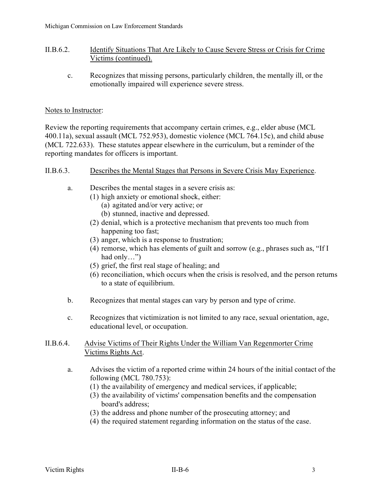# II.B.6.2. Identify Situations That Are Likely to Cause Severe Stress or Crisis for Crime Victims (continued).

c. Recognizes that missing persons, particularly children, the mentally ill, or the emotionally impaired will experience severe stress.

# Notes to Instructor:

Review the reporting requirements that accompany certain crimes, e.g., elder abuse (MCL 400.11a), sexual assault (MCL 752.953), domestic violence (MCL 764.15c), and child abuse (MCL 722.633). These statutes appear elsewhere in the curriculum, but a reminder of the reporting mandates for officers is important.

# II.B.6.3. Describes the Mental Stages that Persons in Severe Crisis May Experience.

- a. Describes the mental stages in a severe crisis as:
	- (1) high anxiety or emotional shock, either:
		- (a) agitated and/or very active; or
		- (b) stunned, inactive and depressed.
	- (2) denial, which is a protective mechanism that prevents too much from happening too fast;
	- (3) anger, which is a response to frustration;
	- (4) remorse, which has elements of guilt and sorrow (e.g., phrases such as, "If I had only…")
	- (5) grief, the first real stage of healing; and
	- (6) reconciliation, which occurs when the crisis is resolved, and the person returns to a state of equilibrium.
- b. Recognizes that mental stages can vary by person and type of crime.
- c. Recognizes that victimization is not limited to any race, sexual orientation, age, educational level, or occupation.

# II.B.6.4. Advise Victims of Their Rights Under the William Van Regenmorter Crime Victims Rights Act.

- a. Advises the victim of a reported crime within 24 hours of the initial contact of the following (MCL 780.753):
	- (1) the availability of emergency and medical services, if applicable;
	- (3) the availability of victims' compensation benefits and the compensation board's address;
	- (3) the address and phone number of the prosecuting attorney; and
	- (4) the required statement regarding information on the status of the case.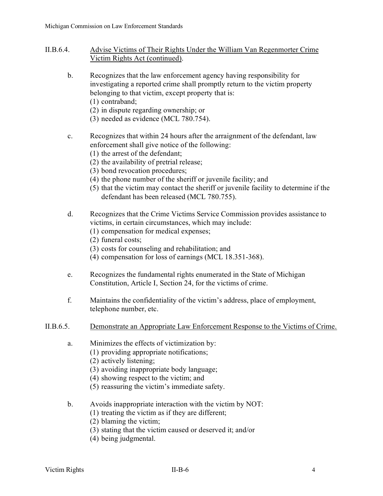- II.B.6.4. Advise Victims of Their Rights Under the William Van Regenmorter Crime Victim Rights Act (continued).
	- b. Recognizes that the law enforcement agency having responsibility for investigating a reported crime shall promptly return to the victim property belonging to that victim, except property that is:
		- (1) contraband;
		- (2) in dispute regarding ownership; or
		- (3) needed as evidence (MCL 780.754).
	- c. Recognizes that within 24 hours after the arraignment of the defendant, law enforcement shall give notice of the following:
		- (1) the arrest of the defendant;
		- (2) the availability of pretrial release;
		- (3) bond revocation procedures;
		- (4) the phone number of the sheriff or juvenile facility; and
		- (5) that the victim may contact the sheriff or juvenile facility to determine if the defendant has been released (MCL 780.755).
	- d. Recognizes that the Crime Victims Service Commission provides assistance to victims, in certain circumstances, which may include:
		- (1) compensation for medical expenses;
		- (2) funeral costs;
		- (3) costs for counseling and rehabilitation; and
		- (4) compensation for loss of earnings (MCL 18.351-368).
	- e. Recognizes the fundamental rights enumerated in the State of Michigan Constitution, Article I, Section 24, for the victims of crime.
	- f. Maintains the confidentiality of the victim's address, place of employment, telephone number, etc.
- II.B.6.5. Demonstrate an Appropriate Law Enforcement Response to the Victims of Crime.
	- a. Minimizes the effects of victimization by:
		- (1) providing appropriate notifications;
		- (2) actively listening;
		- (3) avoiding inappropriate body language;
		- (4) showing respect to the victim; and
		- (5) reassuring the victim's immediate safety.
	- b. Avoids inappropriate interaction with the victim by NOT:
		- (1) treating the victim as if they are different;
		- (2) blaming the victim;
		- (3) stating that the victim caused or deserved it; and/or
		- (4) being judgmental.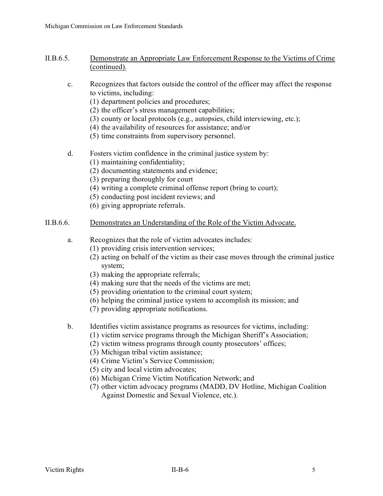- II.B.6.5. Demonstrate an Appropriate Law Enforcement Response to the Victims of Crime (continued).
	- c. Recognizes that factors outside the control of the officer may affect the response to victims, including:
		- (1) department policies and procedures;
		- (2) the officer's stress management capabilities;
		- (3) county or local protocols (e.g., autopsies, child interviewing, etc.);
		- (4) the availability of resources for assistance; and/or
		- (5) time constraints from supervisory personnel.
	- d. Fosters victim confidence in the criminal justice system by:
		- (1) maintaining confidentiality;
		- (2) documenting statements and evidence;
		- (3) preparing thoroughly for court
		- (4) writing a complete criminal offense report (bring to court);
		- (5) conducting post incident reviews; and
		- (6) giving appropriate referrals.

# II.B.6.6. Demonstrates an Understanding of the Role of the Victim Advocate.

- a. Recognizes that the role of victim advocates includes:
	- (1) providing crisis intervention services;
	- (2) acting on behalf of the victim as their case moves through the criminal justice system;
	- (3) making the appropriate referrals;
	- (4) making sure that the needs of the victims are met;
	- (5) providing orientation to the criminal court system;
	- (6) helping the criminal justice system to accomplish its mission; and
	- (7) providing appropriate notifications.
- b. Identifies victim assistance programs as resources for victims, including:
	- (1) victim service programs through the Michigan Sheriff's Association;
	- (2) victim witness programs through county prosecutors' offices;
	- (3) Michigan tribal victim assistance;
	- (4) Crime Victim's Service Commission;
	- (5) city and local victim advocates;
	- (6) Michigan Crime Victim Notification Network; and
	- (7) other victim advocacy programs (MADD, DV Hotline, Michigan Coalition Against Domestic and Sexual Violence, etc.).